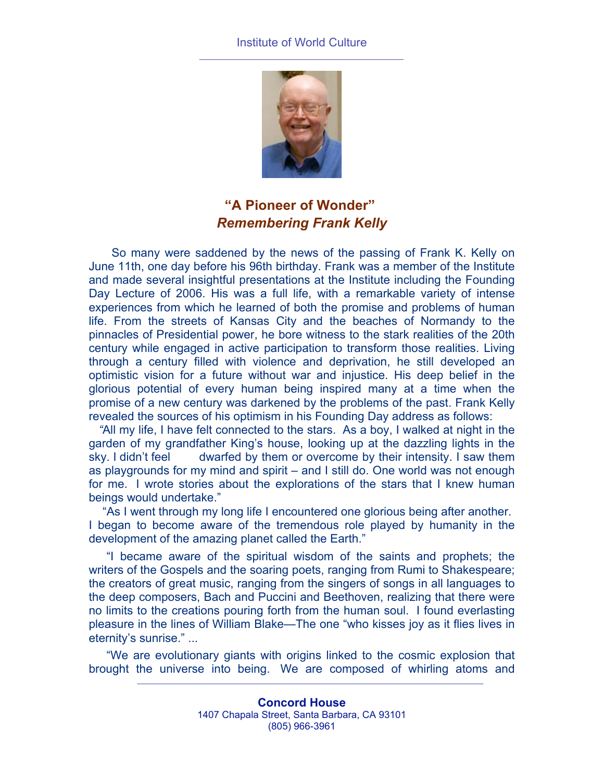## Institute of World Culture



## **"A Pioneer of Wonder"** *Remembering Frank Kelly*

So many were saddened by the news of the passing of Frank K. Kelly on June 11th, one day before his 96th birthday. Frank was a member of the Institute and made several insightful presentations at the Institute including the Founding Day Lecture of 2006. His was a full life, with a remarkable variety of intense experiences from which he learned of both the promise and problems of human life. From the streets of Kansas City and the beaches of Normandy to the pinnacles of Presidential power, he bore witness to the stark realities of the 20th century while engaged in active participation to transform those realities. Living through a century filled with violence and deprivation, he still developed an optimistic vision for a future without war and injustice. His deep belief in the glorious potential of every human being inspired many at a time when the promise of a new century was darkened by the problems of the past. Frank Kelly revealed the sources of his optimism in his Founding Day address as follows:

 *"*All my life, I have felt connected to the stars. As a boy, I walked at night in the garden of my grandfather King's house, looking up at the dazzling lights in the sky. I didn't feel dwarfed by them or overcome by their intensity. I saw them as playgrounds for my mind and spirit – and I still do. One world was not enough for me. I wrote stories about the explorations of the stars that I knew human beings would undertake."

"As I went through my long life I encountered one glorious being after another. I began to become aware of the tremendous role played by humanity in the development of the amazing planet called the Earth."

"I became aware of the spiritual wisdom of the saints and prophets; the writers of the Gospels and the soaring poets, ranging from Rumi to Shakespeare; the creators of great music, ranging from the singers of songs in all languages to the deep composers, Bach and Puccini and Beethoven, realizing that there were no limits to the creations pouring forth from the human soul. I found everlasting pleasure in the lines of William Blake—The one "who kisses joy as it flies lives in eternity's sunrise." ...

"We are evolutionary giants with origins linked to the cosmic explosion that brought the universe into being. We are composed of whirling atoms and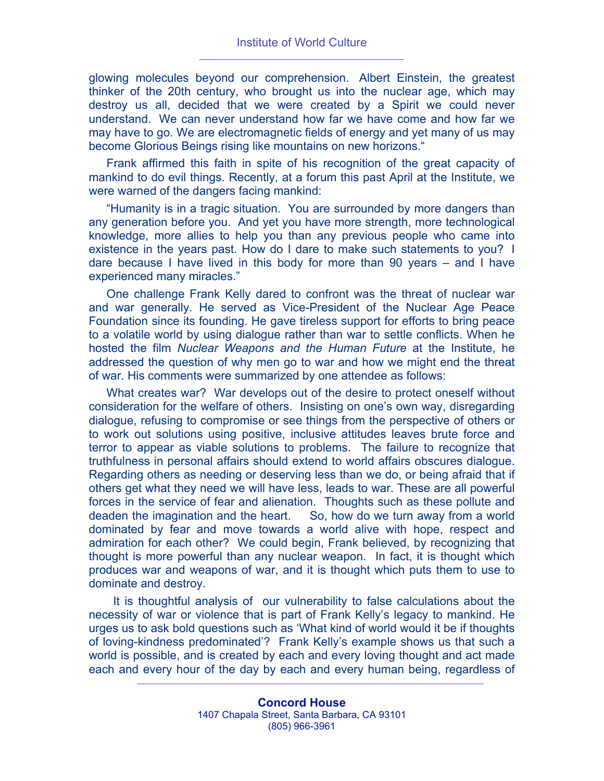glowing molecules beyond our comprehension. Albert Einstein, the greatest thinker of the 20th century, who brought us into the nuclear age, which may destroy us all, decided that we were created by a Spirit we could never understand. We can never understand how far we have come and how far we may have to go. We are electromagnetic fields of energy and yet many of us may become Glorious Beings rising like mountains on new horizons."

Frank affirmed this faith in spite of his recognition of the great capacity of mankind to do evil things. Recently, at a forum this past April at the Institute, we were warned of the dangers facing mankind:

"Humanity is in a tragic situation. You are surrounded by more dangers than any generation before you. And yet you have more strength, more technological knowledge, more allies to help you than any previous people who came into existence in the years past. How do I dare to make such statements to you? I dare because I have lived in this body for more than 90 years – and I have experienced many miracles."

One challenge Frank Kelly dared to confront was the threat of nuclear war and war generally. He served as Vice-President of the Nuclear Age Peace Foundation since its founding. He gave tireless support for efforts to bring peace to a volatile world by using dialogue rather than war to settle conflicts. When he hosted the film *Nuclear Weapons and the Human Future* at the Institute, he addressed the question of why men go to war and how we might end the threat of war. His comments were summarized by one attendee as follows:

What creates war? War develops out of the desire to protect oneself without consideration for the welfare of others. Insisting on one's own way, disregarding dialogue, refusing to compromise or see things from the perspective of others or to work out solutions using positive, inclusive attitudes leaves brute force and terror to appear as viable solutions to problems. The failure to recognize that truthfulness in personal affairs should extend to world affairs obscures dialogue. Regarding others as needing or deserving less than we do, or being afraid that if others get what they need we will have less, leads to war. These are all powerful forces in the service of fear and alienation. Thoughts such as these pollute and deaden the imagination and the heart. So, how do we turn away from a world dominated by fear and move towards a world alive with hope, respect and admiration for each other? We could begin, Frank believed, by recognizing that thought is more powerful than any nuclear weapon. In fact, it is thought which produces war and weapons of war, and it is thought which puts them to use to dominate and destroy.

 It is thoughtful analysis of our vulnerability to false calculations about the necessity of war or violence that is part of Frank Kelly's legacy to mankind. He urges us to ask bold questions such as 'What kind of world would it be if thoughts of loving-kindness predominated'? Frank Kelly's example shows us that such a world is possible, and is created by each and every loving thought and act made each and every hour of the day by each and every human being, regardless of

> **Concord House** 1407 Chapala Street, Santa Barbara, CA 93101 (805) 966-3961